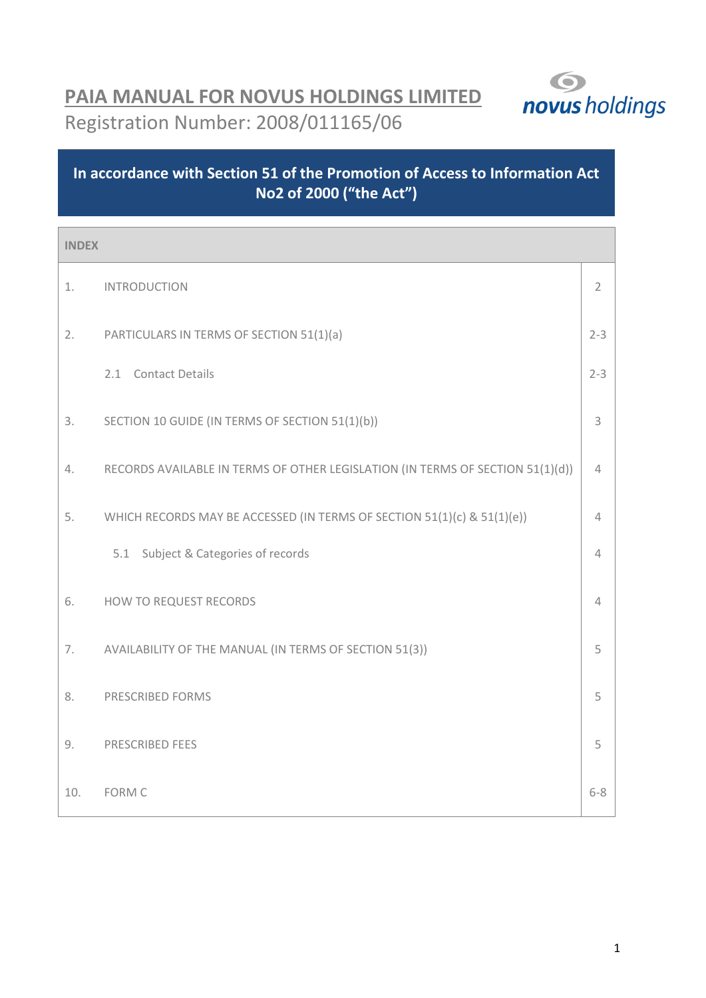

# **PAIA MANUAL FOR NOVUS HOLDINGS LIMITED** Registration Number: 2008/011165/06

# **In accordance with Section 51 of the Promotion of Access to Information Act No2 of 2000 ("the Act")**

| <b>INDEX</b> |                                                                                |                |
|--------------|--------------------------------------------------------------------------------|----------------|
| 1.           | <b>INTRODUCTION</b>                                                            | $\overline{2}$ |
| 2.           | PARTICULARS IN TERMS OF SECTION 51(1)(a)                                       | $2 - 3$        |
|              | 2.1 Contact Details                                                            | $2 - 3$        |
| 3.           | SECTION 10 GUIDE (IN TERMS OF SECTION 51(1)(b))                                | 3              |
| 4.           | RECORDS AVAILABLE IN TERMS OF OTHER LEGISLATION (IN TERMS OF SECTION 51(1)(d)) | 4              |
| 5.           | WHICH RECORDS MAY BE ACCESSED (IN TERMS OF SECTION 51(1)(c) & 51(1)(e))        | 4              |
|              | 5.1 Subject & Categories of records                                            | 4              |
| 6.           | HOW TO REQUEST RECORDS                                                         | 4              |
| 7.           | AVAILABILITY OF THE MANUAL (IN TERMS OF SECTION 51(3))                         | 5              |
| 8.           | PRESCRIBED FORMS                                                               | 5              |
| 9.           | PRESCRIBED FEES                                                                | 5              |
| 10.          | <b>FORM C</b>                                                                  | $6 - 8$        |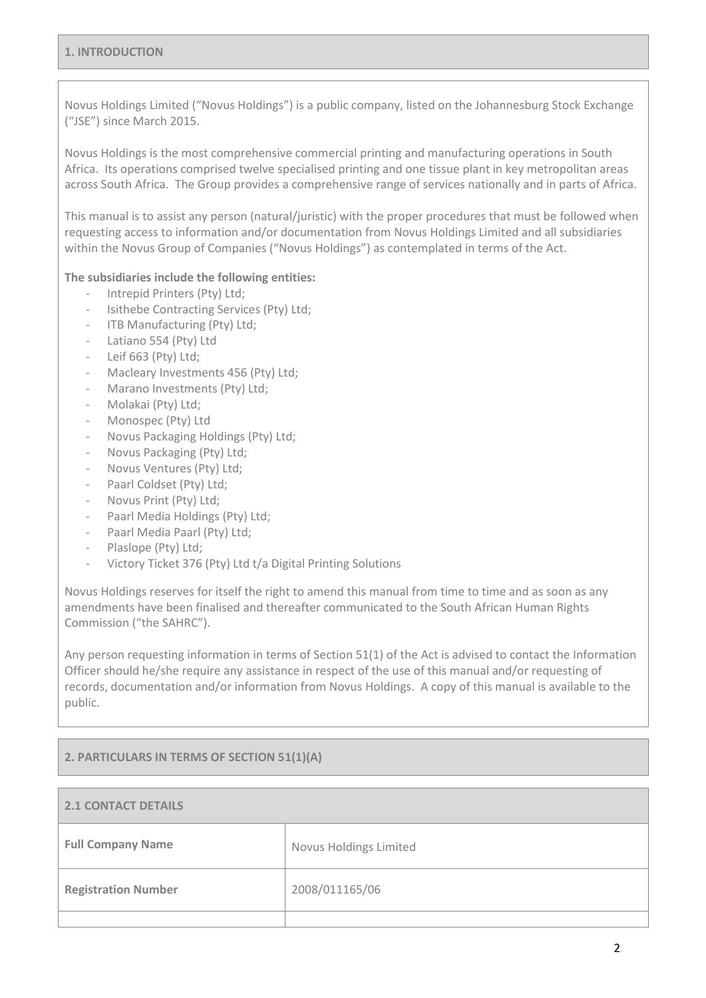Novus Holdings Limited ("Novus Holdings") is a public company, listed on the Johannesburg Stock Exchange ("JSE") since March 2015.

Novus Holdings is the most comprehensive commercial printing and manufacturing operations in South Africa. Its operations comprised twelve specialised printing and one tissue plant in key metropolitan areas across South Africa. The Group provides a comprehensive range of services nationally and in parts of Africa.

This manual is to assist any person (natural/juristic) with the proper procedures that must be followed when requesting access to information and/or documentation from Novus Holdings Limited and all subsidiaries within the Novus Group of Companies ("Novus Holdings") as contemplated in terms of the Act.

### **The subsidiaries include the following entities:**

- Intrepid Printers (Pty) Ltd;
- Isithebe Contracting Services (Pty) Ltd;
- ITB Manufacturing (Pty) Ltd;
- Latiano 554 (Pty) Ltd
- Leif 663 (Pty) Ltd;
- Macleary Investments 456 (Pty) Ltd:
- Marano Investments (Pty) Ltd;
- Molakai (Pty) Ltd;
- Monospec (Pty) Ltd
- Novus Packaging Holdings (Pty) Ltd;
- Novus Packaging (Pty) Ltd;
- Novus Ventures (Pty) Ltd;
- Paarl Coldset (Pty) Ltd;
- Novus Print (Pty) Ltd;
- Paarl Media Holdings (Pty) Ltd;
- Paarl Media Paarl (Pty) Ltd;
- Plaslope (Pty) Ltd;
- Victory Ticket 376 (Pty) Ltd t/a Digital Printing Solutions

Novus Holdings reserves for itself the right to amend this manual from time to time and as soon as any amendments have been finalised and thereafter communicated to the South African Human Rights Commission ("the SAHRC").

Any person requesting information in terms of Section 51(1) of the Act is advised to contact the Information Officer should he/she require any assistance in respect of the use of this manual and/or requesting of records, documentation and/or information from Novus Holdings. A copy of this manual is available to the public.

#### **2. PARTICULARS IN TERMS OF SECTION 51(1)(A)**

| <b>2.1 CONTACT DETAILS</b> |                        |
|----------------------------|------------------------|
| <b>Full Company Name</b>   | Novus Holdings Limited |
| <b>Registration Number</b> | 2008/011165/06         |
|                            |                        |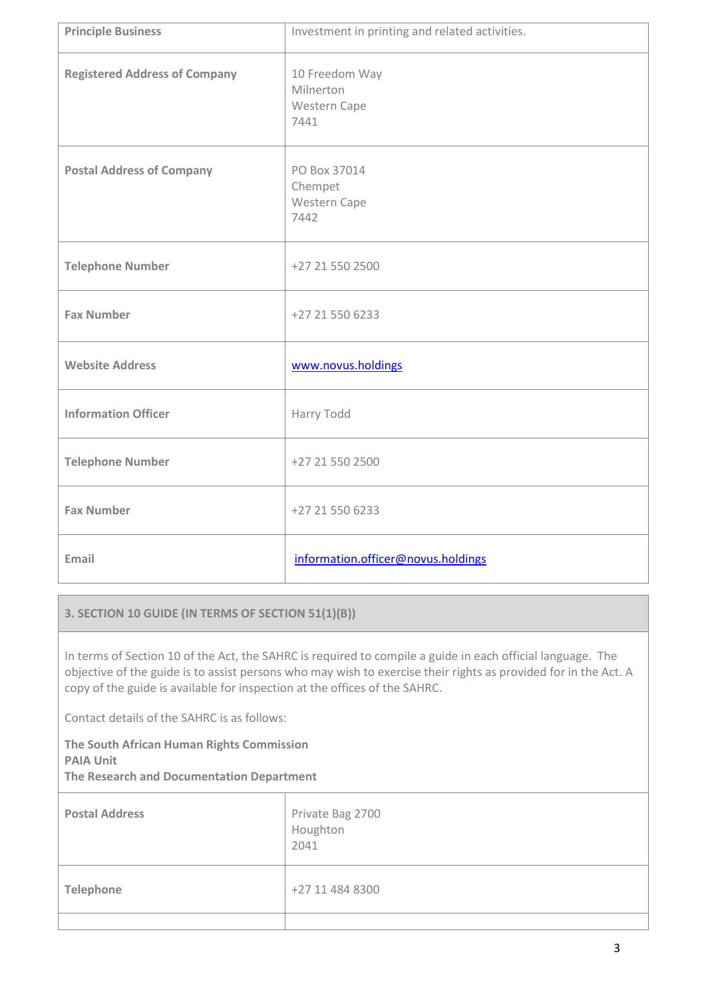| <b>Principle Business</b>            | Investment in printing and related activities.      |
|--------------------------------------|-----------------------------------------------------|
| <b>Registered Address of Company</b> | 10 Freedom Way<br>Milnerton<br>Western Cape<br>7441 |
| <b>Postal Address of Company</b>     | PO Box 37014<br>Chempet<br>Western Cape<br>7442     |
| <b>Telephone Number</b>              | +27 21 550 2500                                     |
| <b>Fax Number</b>                    | +27 21 550 6233                                     |
| <b>Website Address</b>               | www.novus.holdings                                  |
| <b>Information Officer</b>           | Harry Todd                                          |
| <b>Telephone Number</b>              | +27 21 550 2500                                     |
| <b>Fax Number</b>                    | +27 21 550 6233                                     |
| Email                                | information.officer@novus.holdings                  |

# **3. SECTION 10 GUIDE (IN TERMS OF SECTION 51(1)(B))**

In terms of Section 10 of the Act, the SAHRC is required to compile a guide in each official language. The objective of the guide is to assist persons who may wish to exercise their rights as provided for in the Act. A copy of the guide is available for inspection at the offices of the SAHRC.

Contact details of the SAHRC is as follows:

**The South African Human Rights Commission PAIA Unit The Research and Documentation Department**

**Postal Address** Postal Address **Private Bag 2700** Houghton 2041 **Telephone**  $+27 11 484 8300$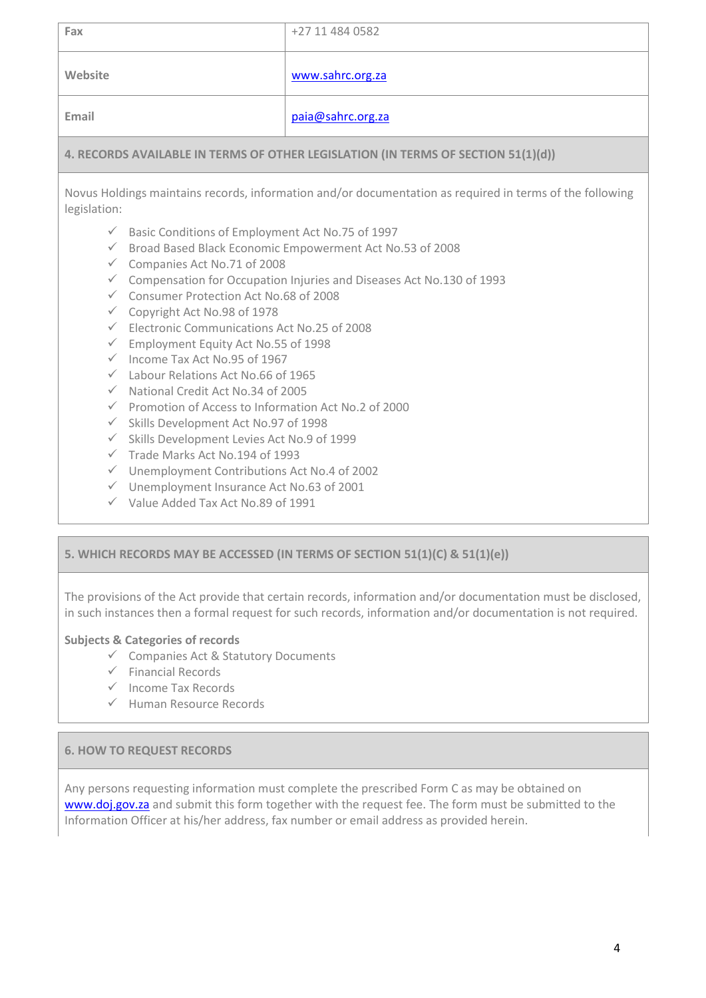| Fax     | +27 11 484 0582   |
|---------|-------------------|
| Website | www.sahrc.org.za  |
| Email   | paia@sahrc.org.za |

# **4. RECORDS AVAILABLE IN TERMS OF OTHER LEGISLATION (IN TERMS OF SECTION 51(1)(d))**

Novus Holdings maintains records, information and/or documentation as required in terms of the following legislation:

- $\checkmark$  Basic Conditions of Employment Act No.75 of 1997
- $\checkmark$  Broad Based Black Economic Empowerment Act No.53 of 2008
- $\checkmark$  Companies Act No.71 of 2008
- $\checkmark$  Compensation for Occupation Injuries and Diseases Act No.130 of 1993
- Consumer Protection Act No.68 of 2008
- Copyright Act No.98 of 1978
- $\checkmark$  Electronic Communications Act No.25 of 2008
- $\checkmark$  Employment Equity Act No.55 of 1998
- $\checkmark$  Income Tax Act No.95 of 1967
- $\checkmark$  Labour Relations Act No.66 of 1965
- $\checkmark$  National Credit Act No.34 of 2005
- $\checkmark$  Promotion of Access to Information Act No.2 of 2000
- $\checkmark$  Skills Development Act No.97 of 1998
- $\checkmark$  Skills Development Levies Act No.9 of 1999
- $\checkmark$  Trade Marks Act No.194 of 1993
- $\checkmark$  Unemployment Contributions Act No.4 of 2002
- $\checkmark$  Unemployment Insurance Act No.63 of 2001
- $\checkmark$  Value Added Tax Act No.89 of 1991

# **5. WHICH RECORDS MAY BE ACCESSED (IN TERMS OF SECTION 51(1)(C) & 51(1)(e))**

The provisions of the Act provide that certain records, information and/or documentation must be disclosed, in such instances then a formal request for such records, information and/or documentation is not required.

# **Subjects & Categories of records**

- $\checkmark$  Companies Act & Statutory Documents
- $\checkmark$  Financial Records
- $\checkmark$  Income Tax Records
- $\checkmark$  Human Resource Records

# **6. HOW TO REQUEST RECORDS**

Any persons requesting information must complete the prescribed Form C as may be obtained on [www.doj.gov.za](http://www.doj.gov.za/) and submit this form together with the request fee. The form must be submitted to the Information Officer at his/her address, fax number or email address as provided herein.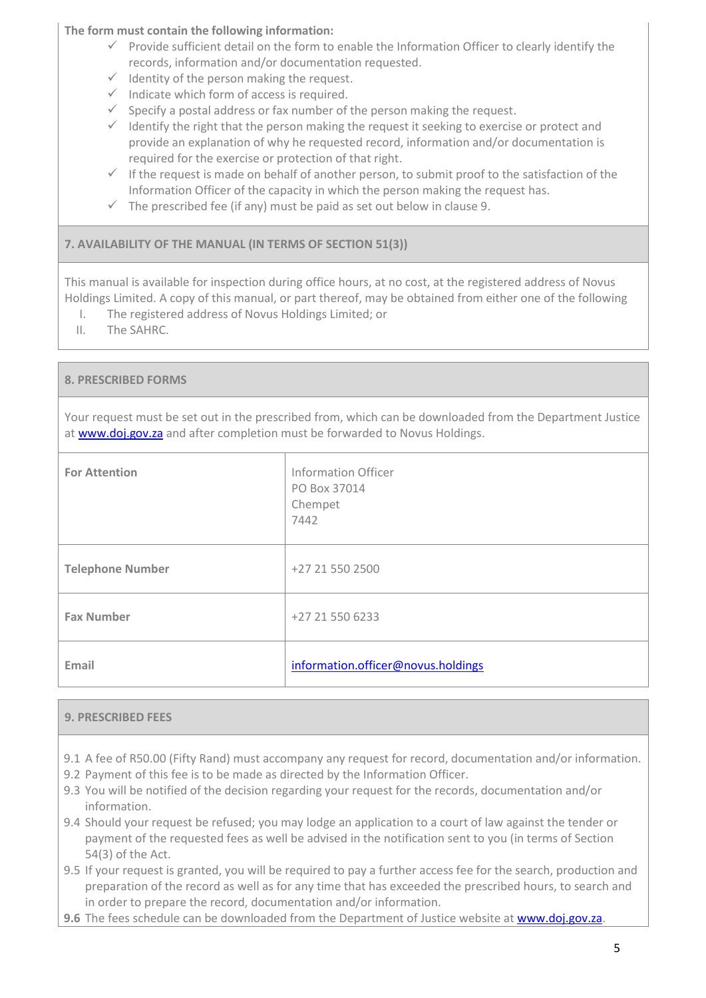**The form must contain the following information:**

- $\checkmark$  Provide sufficient detail on the form to enable the Information Officer to clearly identify the records, information and/or documentation requested.
- $\checkmark$  Identity of the person making the request.
- $\checkmark$  Indicate which form of access is required.
- $\checkmark$  Specify a postal address or fax number of the person making the request.
- $\checkmark$  Identify the right that the person making the request it seeking to exercise or protect and provide an explanation of why he requested record, information and/or documentation is required for the exercise or protection of that right.
- $\checkmark$  If the request is made on behalf of another person, to submit proof to the satisfaction of the Information Officer of the capacity in which the person making the request has.
- $\checkmark$  The prescribed fee (if any) must be paid as set out below in clause 9.

# **7. AVAILABILITY OF THE MANUAL (IN TERMS OF SECTION 51(3))**

This manual is available for inspection during office hours, at no cost, at the registered address of Novus Holdings Limited. A copy of this manual, or part thereof, may be obtained from either one of the following

- I. The registered address of Novus Holdings Limited; or
- II. The SAHRC.

# **8. PRESCRIBED FORMS**

Your request must be set out in the prescribed from, which can be downloaded from the Department Justice at [www.doj.gov.za](http://www.doj.gov.za/) and after completion must be forwarded to Novus Holdings.

| <b>For Attention</b>    | Information Officer<br>PO Box 37014<br>Chempet<br>7442 |
|-------------------------|--------------------------------------------------------|
| <b>Telephone Number</b> | +27 21 550 2500                                        |
| <b>Fax Number</b>       | +27 21 550 6233                                        |
| Email                   | information.officer@novus.holdings                     |

# **9. PRESCRIBED FEES**

- 9.1 A fee of R50.00 (Fifty Rand) must accompany any request for record, documentation and/or information.
- 9.2 Payment of this fee is to be made as directed by the Information Officer.
- 9.3 You will be notified of the decision regarding your request for the records, documentation and/or information.
- 9.4 Should your request be refused; you may lodge an application to a court of law against the tender or payment of the requested fees as well be advised in the notification sent to you (in terms of Section 54(3) of the Act.
- 9.5 If your request is granted, you will be required to pay a further access fee for the search, production and preparation of the record as well as for any time that has exceeded the prescribed hours, to search and in order to prepare the record, documentation and/or information.
- 9.6 The fees schedule can be downloaded from the Department of Justice website at **www.doj.gov.za.**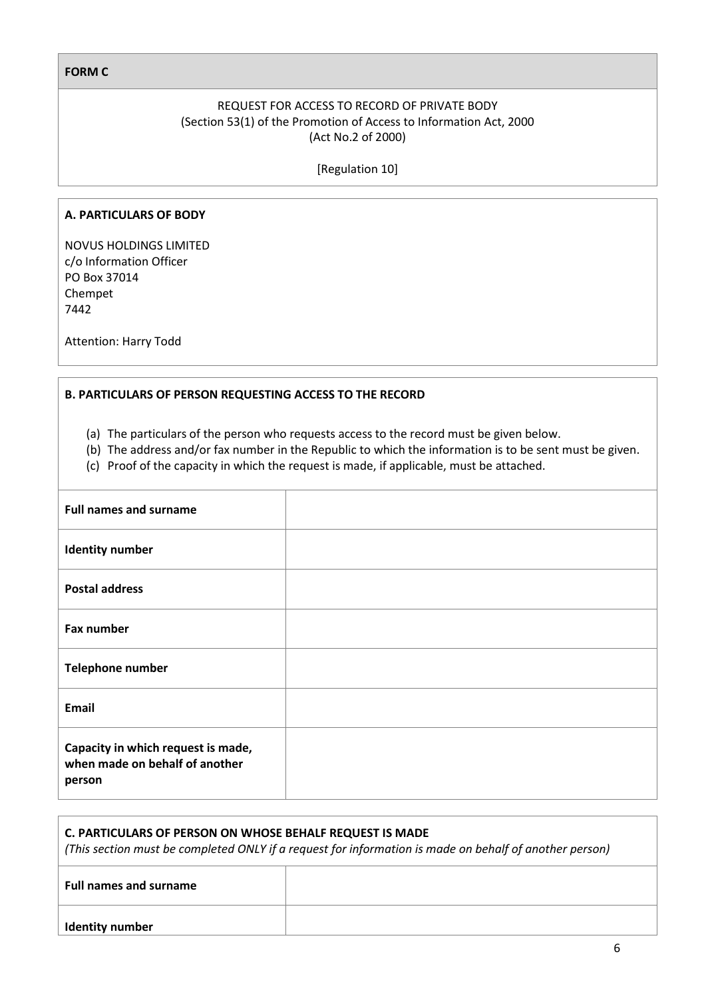#### **FORM C**

## REQUEST FOR ACCESS TO RECORD OF PRIVATE BODY (Section 53(1) of the Promotion of Access to Information Act, 2000 (Act No.2 of 2000)

[Regulation 10]

#### **A. PARTICULARS OF BODY**

NOVUS HOLDINGS LIMITED c/o Information Officer PO Box 37014 Chempet 7442

Attention: Harry Todd

#### **B. PARTICULARS OF PERSON REQUESTING ACCESS TO THE RECORD**

- (a) The particulars of the person who requests access to the record must be given below.
- (b) The address and/or fax number in the Republic to which the information is to be sent must be given.
- (c) Proof of the capacity in which the request is made, if applicable, must be attached.

| <b>Full names and surname</b>                                                  |  |
|--------------------------------------------------------------------------------|--|
| <b>Identity number</b>                                                         |  |
| <b>Postal address</b>                                                          |  |
| Fax number                                                                     |  |
| Telephone number                                                               |  |
| Email                                                                          |  |
| Capacity in which request is made,<br>when made on behalf of another<br>person |  |

| C. PARTICULARS OF PERSON ON WHOSE BEHALF REQUEST IS MADE<br>(This section must be completed ONLY if a request for information is made on behalf of another person) |  |  |
|--------------------------------------------------------------------------------------------------------------------------------------------------------------------|--|--|
| <b>Full names and surname</b>                                                                                                                                      |  |  |
| <b>Identity number</b>                                                                                                                                             |  |  |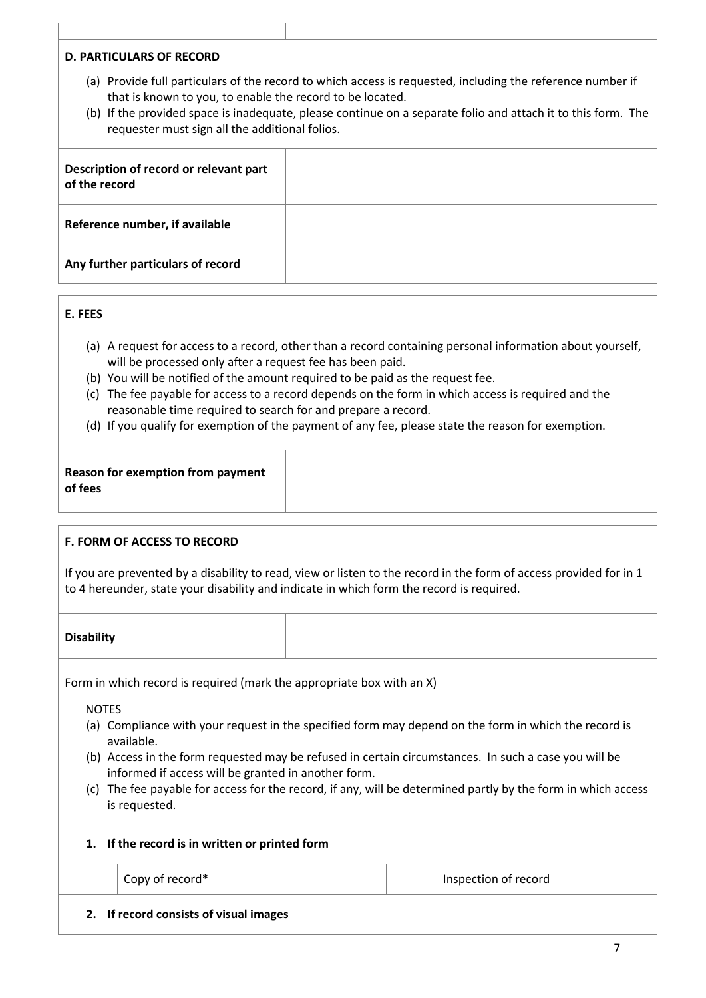#### **D. PARTICULARS OF RECORD**

- (a) Provide full particulars of the record to which access is requested, including the reference number if that is known to you, to enable the record to be located.
- (b) If the provided space is inadequate, please continue on a separate folio and attach it to this form. The requester must sign all the additional folios.

| Description of record or relevant part<br>of the record |  |
|---------------------------------------------------------|--|
| Reference number, if available                          |  |
| Any further particulars of record                       |  |

#### **E. FEES**

- (a) A request for access to a record, other than a record containing personal information about yourself, will be processed only after a request fee has been paid.
- (b) You will be notified of the amount required to be paid as the request fee.
- (c) The fee payable for access to a record depends on the form in which access is required and the reasonable time required to search for and prepare a record.
- (d) If you qualify for exemption of the payment of any fee, please state the reason for exemption.

| Reason for exemption from payment |  |
|-----------------------------------|--|
| of fees                           |  |

#### **F. FORM OF ACCESS TO RECORD**

If you are prevented by a disability to read, view or listen to the record in the form of access provided for in 1 to 4 hereunder, state your disability and indicate in which form the record is required.

#### **Disability**

Form in which record is required (mark the appropriate box with an X)

NOTES

- (a) Compliance with your request in the specified form may depend on the form in which the record is available.
- (b) Access in the form requested may be refused in certain circumstances. In such a case you will be informed if access will be granted in another form.
- (c) The fee payable for access for the record, if any, will be determined partly by the form in which access is requested.

|  | 1. If the record is in written or printed form |  |  |  |  |  |
|--|------------------------------------------------|--|--|--|--|--|
|--|------------------------------------------------|--|--|--|--|--|

Copy of record<sup>\*</sup> The Copy of record  $\sim$  Inspection of record

**2. If record consists of visual images**